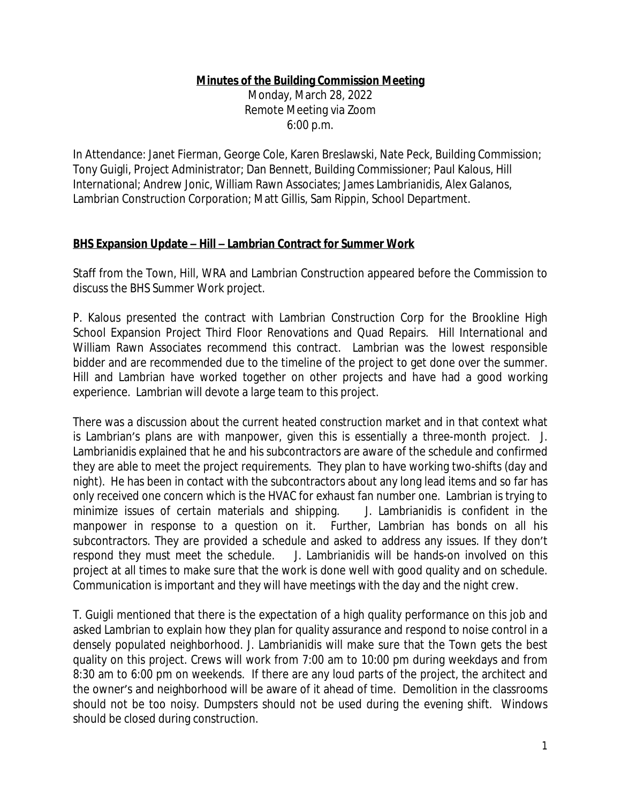## **Minutes of the Building Commission Meeting**

Monday, March 28, 2022 Remote Meeting via Zoom 6:00 p.m.

In Attendance: Janet Fierman, George Cole, Karen Breslawski, Nate Peck, Building Commission; Tony Guigli, Project Administrator; Dan Bennett, Building Commissioner; Paul Kalous, Hill International; Andrew Jonic, William Rawn Associates; James Lambrianidis, Alex Galanos, Lambrian Construction Corporation; Matt Gillis, Sam Rippin, School Department.

## **BHS Expansion Update – Hill – Lambrian Contract for Summer Work**

Staff from the Town, Hill, WRA and Lambrian Construction appeared before the Commission to discuss the BHS Summer Work project.

P. Kalous presented the contract with Lambrian Construction Corp for the Brookline High School Expansion Project Third Floor Renovations and Quad Repairs. Hill International and William Rawn Associates recommend this contract. Lambrian was the lowest responsible bidder and are recommended due to the timeline of the project to get done over the summer. Hill and Lambrian have worked together on other projects and have had a good working experience. Lambrian will devote a large team to this project.

There was a discussion about the current heated construction market and in that context what is Lambrian's plans are with manpower, given this is essentially a three-month project. J. Lambrianidis explained that he and his subcontractors are aware of the schedule and confirmed they are able to meet the project requirements. They plan to have working two-shifts (day and night). He has been in contact with the subcontractors about any long lead items and so far has only received one concern which is the HVAC for exhaust fan number one. Lambrian is trying to minimize issues of certain materials and shipping. J. Lambrianidis is confident in the manpower in response to a question on it. Further, Lambrian has bonds on all his subcontractors. They are provided a schedule and asked to address any issues. If they don't respond they must meet the schedule. J. Lambrianidis will be hands-on involved on this project at all times to make sure that the work is done well with good quality and on schedule. Communication is important and they will have meetings with the day and the night crew.

T. Guigli mentioned that there is the expectation of a high quality performance on this job and asked Lambrian to explain how they plan for quality assurance and respond to noise control in a densely populated neighborhood. J. Lambrianidis will make sure that the Town gets the best quality on this project. Crews will work from 7:00 am to 10:00 pm during weekdays and from 8:30 am to 6:00 pm on weekends. If there are any loud parts of the project, the architect and the owner's and neighborhood will be aware of it ahead of time. Demolition in the classrooms should not be too noisy. Dumpsters should not be used during the evening shift. Windows should be closed during construction.